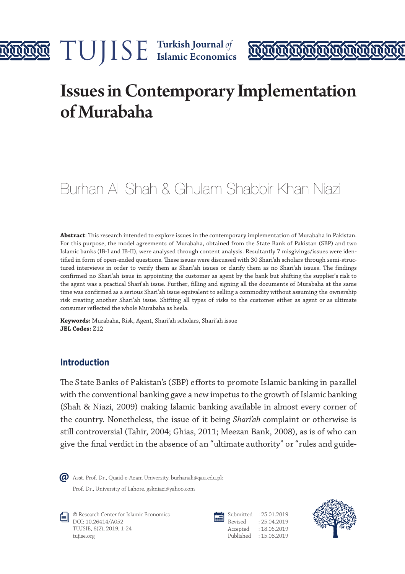



# Issues in Contemporary Implementation of Murabaha

# Burhan Ali Shah & Ghulam Shabbir Khan Niazi

**Abstract**: This research intended to explore issues in the contemporary implementation of Murabaha in Pakistan. For this purpose, the model agreements of Murabaha, obtained from the State Bank of Pakistan (SBP) and two Islamic banks (IB-I and IB-II), were analysed through content analysis. Resultantly 7 misgivings/issues were identified in form of open-ended questions. These issues were discussed with 30 Shari'ah scholars through semi-structured interviews in order to verify them as Shari'ah issues or clarify them as no Shari'ah issues. The findings confirmed no Shari'ah issue in appointing the customer as agent by the bank but shifting the supplier's risk to the agent was a practical Shari'ah issue. Further, filling and signing all the documents of Murabaha at the same time was confirmed as a serious Shari'ah issue equivalent to selling a commodity without assuming the ownership risk creating another Shari'ah issue. Shifting all types of risks to the customer either as agent or as ultimate consumer reflected the whole Murabaha as heela.

**Keywords:** Murabaha, Risk, Agent, Shari'ah scholars, Shari'ah issue **JEL Codes:** Z12

#### **Introduction**

The State Banks of Pakistan's (SBP) efforts to promote Islamic banking in parallel with the conventional banking gave a new impetus to the growth of Islamic banking (Shah & Niazi, 2009) making Islamic banking available in almost every corner of the country. Nonetheless, the issue of it being *Shari'ah* complaint or otherwise is still controversial (Tahir, 2004; Ghias, 2011; Meezan Bank, 2008), as is of who can give the final verdict in the absence of an "ultimate authority" or "rules and guide-



Prof. Dr., University of Lahore. gskniazi@yahoo.com Asst. Prof. Dr., Quaid-e-Azam University. burhanali@qau.edu.pk



© Research Center for Islamic Economics DOI: 10.26414/A052 TUJSIE, 6(2), 2019, 1-24 tujise.org



Submitted : 25.01.2019 Revised : 25.04.2019 Accepted : 18.05.2019 Published : 15.08.2019

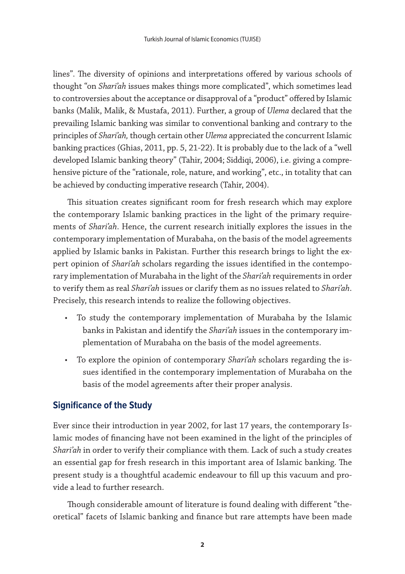lines". The diversity of opinions and interpretations offered by various schools of thought "on *Shari'ah* issues makes things more complicated", which sometimes lead to controversies about the acceptance or disapproval of a "product" offered by Islamic banks (Malik, Malik, & Mustafa, 2011). Further, a group of *Ulema* declared that the prevailing Islamic banking was similar to conventional banking and contrary to the principles of *Shari'ah,* though certain other *Ulema* appreciated the concurrent Islamic banking practices (Ghias, 2011, pp. 5, 21-22). It is probably due to the lack of a "well developed Islamic banking theory" (Tahir, 2004; Siddiqi, 2006), i.e. giving a comprehensive picture of the "rationale, role, nature, and working", etc., in totality that can be achieved by conducting imperative research (Tahir, 2004).

This situation creates significant room for fresh research which may explore the contemporary Islamic banking practices in the light of the primary requirements of *Shari'ah*. Hence, the current research initially explores the issues in the contemporary implementation of Murabaha, on the basis of the model agreements applied by Islamic banks in Pakistan. Further this research brings to light the expert opinion of *Shari'ah* scholars regarding the issues identified in the contemporary implementation of Murabaha in the light of the *Shari'ah* requirements in order to verify them as real *Shari'ah* issues or clarify them as no issues related to *Shari'ah*. Precisely, this research intends to realize the following objectives.

- To study the contemporary implementation of Murabaha by the Islamic banks in Pakistan and identify the *Shari'ah* issues in the contemporary implementation of Murabaha on the basis of the model agreements.
- To explore the opinion of contemporary *Shari'ah* scholars regarding the issues identified in the contemporary implementation of Murabaha on the basis of the model agreements after their proper analysis.

# **Significance of the Study**

Ever since their introduction in year 2002, for last 17 years, the contemporary Islamic modes of financing have not been examined in the light of the principles of *Shari'ah* in order to verify their compliance with them*.* Lack of such a study creates an essential gap for fresh research in this important area of Islamic banking. The present study is a thoughtful academic endeavour to fill up this vacuum and provide a lead to further research.

Though considerable amount of literature is found dealing with different "theoretical" facets of Islamic banking and finance but rare attempts have been made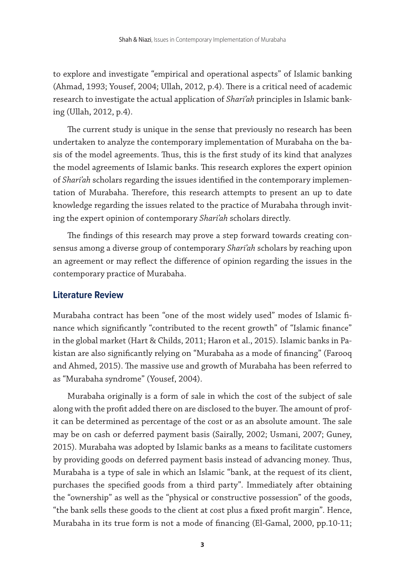to explore and investigate "empirical and operational aspects" of Islamic banking (Ahmad, 1993; Yousef, 2004; Ullah, 2012, p.4). There is a critical need of academic research to investigate the actual application of *Shari'ah* principles in Islamic banking (Ullah, 2012, p.4).

The current study is unique in the sense that previously no research has been undertaken to analyze the contemporary implementation of Murabaha on the basis of the model agreements. Thus, this is the first study of its kind that analyzes the model agreements of Islamic banks. This research explores the expert opinion of *Shari'ah* scholars regarding the issues identified in the contemporary implementation of Murabaha. Therefore, this research attempts to present an up to date knowledge regarding the issues related to the practice of Murabaha through inviting the expert opinion of contemporary *Shari'ah* scholars directly.

The findings of this research may prove a step forward towards creating consensus among a diverse group of contemporary *Shari'ah* scholars by reaching upon an agreement or may reflect the difference of opinion regarding the issues in the contemporary practice of Murabaha.

#### **Literature Review**

Murabaha contract has been "one of the most widely used" modes of Islamic finance which significantly "contributed to the recent growth" of "Islamic finance" in the global market (Hart & Childs, 2011; Haron et al., 2015). Islamic banks in Pakistan are also significantly relying on "Murabaha as a mode of financing" (Farooq and Ahmed, 2015). The massive use and growth of Murabaha has been referred to as "Murabaha syndrome" (Yousef, 2004).

Murabaha originally is a form of sale in which the cost of the subject of sale along with the profit added there on are disclosed to the buyer. The amount of profit can be determined as percentage of the cost or as an absolute amount. The sale may be on cash or deferred payment basis (Sairally, 2002; Usmani, 2007; Guney, 2015). Murabaha was adopted by Islamic banks as a means to facilitate customers by providing goods on deferred payment basis instead of advancing money. Thus, Murabaha is a type of sale in which an Islamic "bank, at the request of its client, purchases the specified goods from a third party". Immediately after obtaining the "ownership" as well as the "physical or constructive possession" of the goods, "the bank sells these goods to the client at cost plus a fixed profit margin". Hence, Murabaha in its true form is not a mode of financing (El-Gamal, 2000, pp.10-11;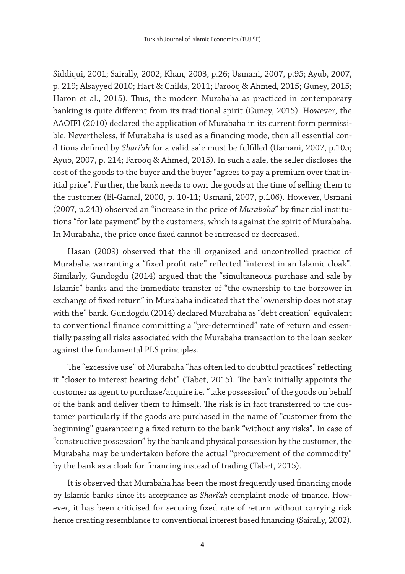Siddiqui, 2001; Sairally, 2002; Khan, 2003, p.26; Usmani, 2007, p.95; Ayub, 2007, p. 219; Alsayyed 2010; Hart & Childs, 2011; Farooq & Ahmed, 2015; Guney, 2015; Haron et al., 2015). Thus, the modern Murabaha as practiced in contemporary banking is quite different from its traditional spirit (Guney, 2015). However, the AAOIFI (2010) declared the application of Murabaha in its current form permissible. Nevertheless, if Murabaha is used as a financing mode, then all essential conditions defined by *Shari'ah* for a valid sale must be fulfilled (Usmani, 2007, p.105; Ayub, 2007, p. 214; Farooq & Ahmed, 2015). In such a sale, the seller discloses the cost of the goods to the buyer and the buyer "agrees to pay a premium over that initial price". Further, the bank needs to own the goods at the time of selling them to the customer (El-Gamal, 2000, p. 10-11; Usmani, 2007, p.106). However, Usmani (2007, p.243) observed an "increase in the price of *Murabaha*" by financial institutions "for late payment" by the customers, which is against the spirit of Murabaha. In Murabaha, the price once fixed cannot be increased or decreased.

Hasan (2009) observed that the ill organized and uncontrolled practice of Murabaha warranting a "fixed profit rate" reflected "interest in an Islamic cloak". Similarly, Gundogdu (2014) argued that the "simultaneous purchase and sale by Islamic" banks and the immediate transfer of "the ownership to the borrower in exchange of fixed return" in Murabaha indicated that the "ownership does not stay with the" bank. Gundogdu (2014) declared Murabaha as "debt creation" equivalent to conventional finance committing a "pre-determined" rate of return and essentially passing all risks associated with the Murabaha transaction to the loan seeker against the fundamental PLS principles.

The "excessive use" of Murabaha "has often led to doubtful practices" reflecting it "closer to interest bearing debt" (Tabet, 2015). The bank initially appoints the customer as agent to purchase/acquire i.e. "take possession" of the goods on behalf of the bank and deliver them to himself. The risk is in fact transferred to the customer particularly if the goods are purchased in the name of "customer from the beginning" guaranteeing a fixed return to the bank "without any risks". In case of "constructive possession" by the bank and physical possession by the customer, the Murabaha may be undertaken before the actual "procurement of the commodity" by the bank as a cloak for financing instead of trading (Tabet, 2015).

It is observed that Murabaha has been the most frequently used financing mode by Islamic banks since its acceptance as *Shari'ah* complaint mode of finance. However, it has been criticised for securing fixed rate of return without carrying risk hence creating resemblance to conventional interest based financing (Sairally, 2002).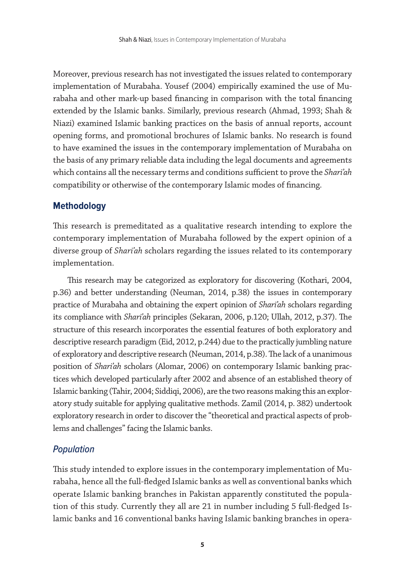Moreover, previous research has not investigated the issues related to contemporary implementation of Murabaha. Yousef (2004) empirically examined the use of Murabaha and other mark-up based financing in comparison with the total financing extended by the Islamic banks. Similarly, previous research (Ahmad, 1993; Shah & Niazi) examined Islamic banking practices on the basis of annual reports, account opening forms, and promotional brochures of Islamic banks. No research is found to have examined the issues in the contemporary implementation of Murabaha on the basis of any primary reliable data including the legal documents and agreements which contains all the necessary terms and conditions sufficient to prove the *Shari'ah* compatibility or otherwise of the contemporary Islamic modes of financing.

#### **Methodology**

This research is premeditated as a qualitative research intending to explore the contemporary implementation of Murabaha followed by the expert opinion of a diverse group of *Shari'ah* scholars regarding the issues related to its contemporary implementation.

This research may be categorized as exploratory for discovering (Kothari, 2004, p.36) and better understanding (Neuman, 2014, p.38) the issues in contemporary practice of Murabaha and obtaining the expert opinion of *Shari'ah* scholars regarding its compliance with *Shari'ah* principles (Sekaran, 2006, p.120; Ullah, 2012, p.37). The structure of this research incorporates the essential features of both exploratory and descriptive research paradigm (Eid, 2012, p.244) due to the practically jumbling nature of exploratory and descriptive research (Neuman, 2014, p.38). The lack of a unanimous position of *Shari'ah* scholars (Alomar, 2006) on contemporary Islamic banking practices which developed particularly after 2002 and absence of an established theory of Islamic banking (Tahir, 2004; Siddiqi, 2006), are the two reasons making this an exploratory study suitable for applying qualitative methods. Zamil (2014, p. 382) undertook exploratory research in order to discover the "theoretical and practical aspects of problems and challenges" facing the Islamic banks.

#### *Population*

This study intended to explore issues in the contemporary implementation of Murabaha, hence all the full-fledged Islamic banks as well as conventional banks which operate Islamic banking branches in Pakistan apparently constituted the population of this study. Currently they all are 21 in number including 5 full-fledged Islamic banks and 16 conventional banks having Islamic banking branches in opera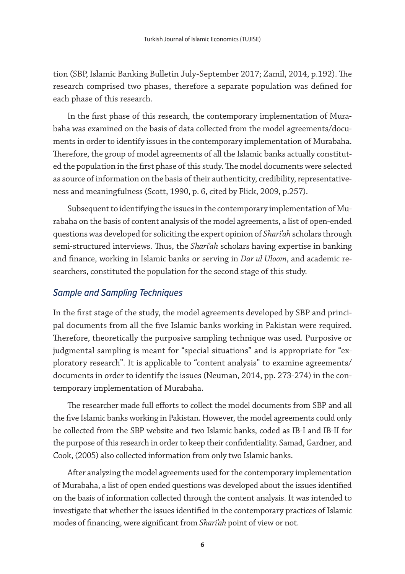tion (SBP, Islamic Banking Bulletin July-September 2017; Zamil, 2014, p.192). The research comprised two phases, therefore a separate population was defined for each phase of this research.

In the first phase of this research, the contemporary implementation of Murabaha was examined on the basis of data collected from the model agreements/documents in order to identify issues in the contemporary implementation of Murabaha. Therefore, the group of model agreements of all the Islamic banks actually constituted the population in the first phase of this study. The model documents were selected as source of information on the basis of their authenticity, credibility, representativeness and meaningfulness (Scott, 1990, p. 6, cited by Flick, 2009, p.257).

Subsequent to identifying the issues in the contemporary implementation of Murabaha on the basis of content analysis of the model agreements, a list of open-ended questions was developed for soliciting the expert opinion of *Shari'ah* scholars through semi-structured interviews. Thus, the *Shari'ah* scholars having expertise in banking and finance, working in Islamic banks or serving in *Dar ul Uloom*, and academic researchers, constituted the population for the second stage of this study.

# *Sample and Sampling Techniques*

In the first stage of the study, the model agreements developed by SBP and principal documents from all the five Islamic banks working in Pakistan were required. Therefore, theoretically the purposive sampling technique was used. Purposive or judgmental sampling is meant for "special situations" and is appropriate for "exploratory research". It is applicable to "content analysis" to examine agreements/ documents in order to identify the issues (Neuman, 2014, pp. 273-274) in the contemporary implementation of Murabaha.

The researcher made full efforts to collect the model documents from SBP and all the five Islamic banks working in Pakistan. However, the model agreements could only be collected from the SBP website and two Islamic banks, coded as IB-I and IB-II for the purpose of this research in order to keep their confidentiality. Samad, Gardner, and Cook, (2005) also collected information from only two Islamic banks.

After analyzing the model agreements used for the contemporary implementation of Murabaha, a list of open ended questions was developed about the issues identified on the basis of information collected through the content analysis. It was intended to investigate that whether the issues identified in the contemporary practices of Islamic modes of financing, were significant from *Shari'ah* point of view or not.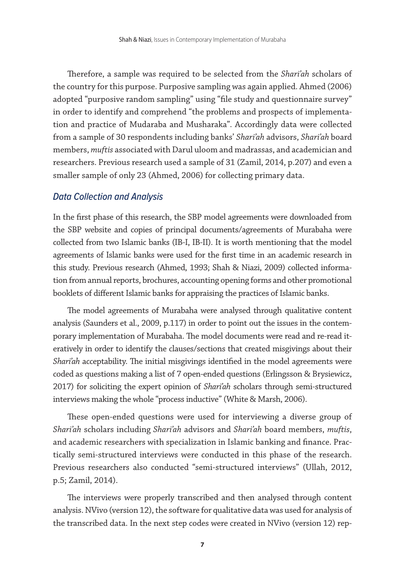Therefore, a sample was required to be selected from the *Shari'ah* scholars of the country for this purpose. Purposive sampling was again applied. Ahmed (2006) adopted "purposive random sampling" using "file study and questionnaire survey" in order to identify and comprehend "the problems and prospects of implementation and practice of Mudaraba and Musharaka". Accordingly data were collected from a sample of 30 respondents including banks' *Shari'ah* advisors, *Shari'ah* board members, *muftis* associated with Darul uloom and madrassas, and academician and researchers. Previous research used a sample of 31 (Zamil, 2014, p.207) and even a smaller sample of only 23 (Ahmed, 2006) for collecting primary data.

#### *Data Collection and Analysis*

In the first phase of this research, the SBP model agreements were downloaded from the SBP website and copies of principal documents/agreements of Murabaha were collected from two Islamic banks (IB-I, IB-II). It is worth mentioning that the model agreements of Islamic banks were used for the first time in an academic research in this study. Previous research (Ahmed, 1993; Shah & Niazi, 2009) collected information from annual reports, brochures, accounting opening forms and other promotional booklets of different Islamic banks for appraising the practices of Islamic banks.

The model agreements of Murabaha were analysed through qualitative content analysis (Saunders et al., 2009, p.117) in order to point out the issues in the contemporary implementation of Murabaha. The model documents were read and re-read iteratively in order to identify the clauses/sections that created misgivings about their *Shari'ah* acceptability. The initial misgivings identified in the model agreements were coded as questions making a list of 7 open-ended questions (Erlingsson & Brysiewicz, 2017) for soliciting the expert opinion of *Shari'ah* scholars through semi-structured interviews making the whole "process inductive" (White & Marsh, 2006).

These open-ended questions were used for interviewing a diverse group of *Shari'ah* scholars including *Shari'ah* advisors and *Shari'ah* board members, *muftis*, and academic researchers with specialization in Islamic banking and finance. Practically semi-structured interviews were conducted in this phase of the research. Previous researchers also conducted "semi-structured interviews" (Ullah, 2012, p.5; Zamil, 2014).

The interviews were properly transcribed and then analysed through content analysis. NVivo (version 12), the software for qualitative data was used for analysis of the transcribed data. In the next step codes were created in NVivo (version 12) rep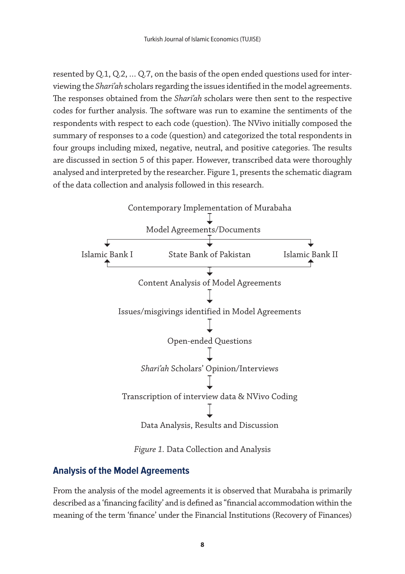resented by Q.1, Q.2, … Q.7, on the basis of the open ended questions used for interviewing the *Shari'ah* scholars regarding the issues identified in the model agreements. The responses obtained from the *Shari'ah* scholars were then sent to the respective codes for further analysis. The software was run to examine the sentiments of the respondents with respect to each code (question). The NVivo initially composed the summary of responses to a code (question) and categorized the total respondents in four groups including mixed, negative, neutral, and positive categories. The results are discussed in section 5 of this paper. However, transcribed data were thoroughly analysed and interpreted by the researcher. Figure 1, presents the schematic diagram of the data collection and analysis followed in this research.



*Figure 1.* Data Collection and Analysis

# **Analysis of the Model Agreements**

From the analysis of the model agreements it is observed that Murabaha is primarily described as a 'financing facility' and is defined as "financial accommodation within the meaning of the term 'finance' under the Financial Institutions (Recovery of Finances)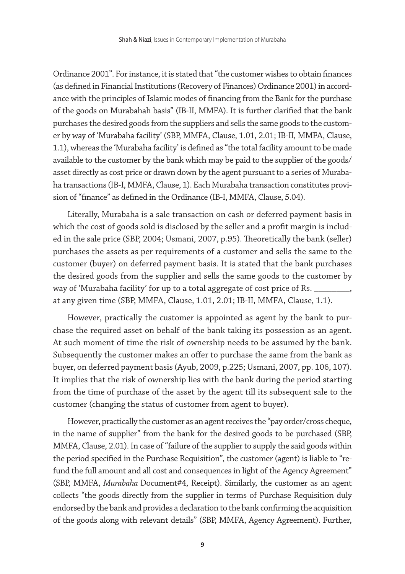Ordinance 2001". For instance, it is stated that "the customer wishes to obtain finances (as defined in Financial Institutions (Recovery of Finances) Ordinance 2001) in accordance with the principles of Islamic modes of financing from the Bank for the purchase of the goods on Murabahah basis" (IB-II, MMFA). It is further clarified that the bank purchases the desired goods from the suppliers and sells the same goods to the customer by way of 'Murabaha facility' (SBP, MMFA, Clause, 1.01, 2.01; IB-II, MMFA, Clause, 1.1), whereas the 'Murabaha facility' is defined as "the total facility amount to be made available to the customer by the bank which may be paid to the supplier of the goods/ asset directly as cost price or drawn down by the agent pursuant to a series of Murabaha transactions (IB-I, MMFA, Clause, 1). Each Murabaha transaction constitutes provision of "finance" as defined in the Ordinance (IB-I, MMFA, Clause, 5.04).

Literally, Murabaha is a sale transaction on cash or deferred payment basis in which the cost of goods sold is disclosed by the seller and a profit margin is included in the sale price (SBP, 2004; Usmani, 2007, p.95). Theoretically the bank (seller) purchases the assets as per requirements of a customer and sells the same to the customer (buyer) on deferred payment basis. It is stated that the bank purchases the desired goods from the supplier and sells the same goods to the customer by way of 'Murabaha facility' for up to a total aggregate of cost price of Rs. at any given time (SBP, MMFA, Clause, 1.01, 2.01; IB-II, MMFA, Clause, 1.1).

However, practically the customer is appointed as agent by the bank to purchase the required asset on behalf of the bank taking its possession as an agent. At such moment of time the risk of ownership needs to be assumed by the bank. Subsequently the customer makes an offer to purchase the same from the bank as buyer, on deferred payment basis (Ayub, 2009, p.225; Usmani, 2007, pp. 106, 107). It implies that the risk of ownership lies with the bank during the period starting from the time of purchase of the asset by the agent till its subsequent sale to the customer (changing the status of customer from agent to buyer).

However, practically the customer as an agent receives the "pay order/cross cheque, in the name of supplier" from the bank for the desired goods to be purchased (SBP, MMFA, Clause, 2.01). In case of "failure of the supplier to supply the said goods within the period specified in the Purchase Requisition", the customer (agent) is liable to "refund the full amount and all cost and consequences in light of the Agency Agreement" (SBP, MMFA, *Murabaha* Document#4, Receipt). Similarly, the customer as an agent collects "the goods directly from the supplier in terms of Purchase Requisition duly endorsed by the bank and provides a declaration to the bank confirming the acquisition of the goods along with relevant details" (SBP, MMFA, Agency Agreement). Further,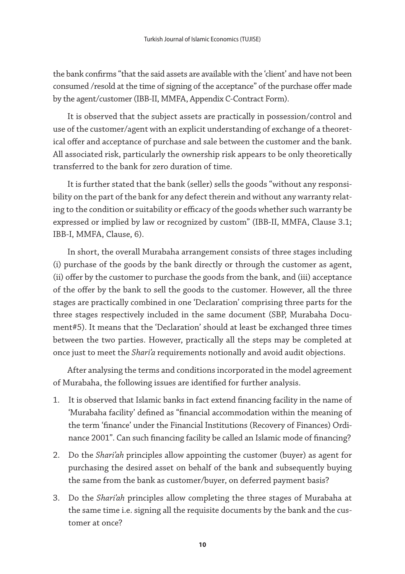the bank confirms "that the said assets are available with the 'client' and have not been consumed /resold at the time of signing of the acceptance" of the purchase offer made by the agent/customer (IBB-II, MMFA, Appendix C-Contract Form).

It is observed that the subject assets are practically in possession/control and use of the customer/agent with an explicit understanding of exchange of a theoretical offer and acceptance of purchase and sale between the customer and the bank. All associated risk, particularly the ownership risk appears to be only theoretically transferred to the bank for zero duration of time.

It is further stated that the bank (seller) sells the goods "without any responsibility on the part of the bank for any defect therein and without any warranty relating to the condition or suitability or efficacy of the goods whether such warranty be expressed or implied by law or recognized by custom" (IBB-II, MMFA, Clause 3.1; IBB-I, MMFA, Clause, 6).

In short, the overall Murabaha arrangement consists of three stages including (i) purchase of the goods by the bank directly or through the customer as agent, (ii) offer by the customer to purchase the goods from the bank, and (iii) acceptance of the offer by the bank to sell the goods to the customer. However, all the three stages are practically combined in one 'Declaration' comprising three parts for the three stages respectively included in the same document (SBP, Murabaha Document#5). It means that the 'Declaration' should at least be exchanged three times between the two parties. However, practically all the steps may be completed at once just to meet the *Shari'a* requirements notionally and avoid audit objections.

After analysing the terms and conditions incorporated in the model agreement of Murabaha, the following issues are identified for further analysis.

- 1. It is observed that Islamic banks in fact extend financing facility in the name of 'Murabaha facility' defined as "financial accommodation within the meaning of the term 'finance' under the Financial Institutions (Recovery of Finances) Ordinance 2001". Can such financing facility be called an Islamic mode of financing?
- 2. Do the *Shari'ah* principles allow appointing the customer (buyer) as agent for purchasing the desired asset on behalf of the bank and subsequently buying the same from the bank as customer/buyer, on deferred payment basis?
- 3. Do the *Shari'ah* principles allow completing the three stages of Murabaha at the same time i.e. signing all the requisite documents by the bank and the customer at once?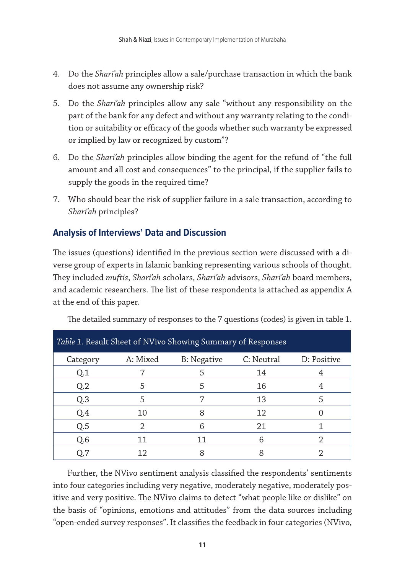- 4. Do the *Shari'ah* principles allow a sale/purchase transaction in which the bank does not assume any ownership risk?
- 5. Do the *Shari'ah* principles allow any sale "without any responsibility on the part of the bank for any defect and without any warranty relating to the condition or suitability or efficacy of the goods whether such warranty be expressed or implied by law or recognized by custom"?
- 6. Do the *Shari'ah* principles allow binding the agent for the refund of "the full amount and all cost and consequences" to the principal, if the supplier fails to supply the goods in the required time?
- 7. Who should bear the risk of supplier failure in a sale transaction, according to *Shari'ah* principles?

# **Analysis of Interviews' Data and Discussion**

The issues (questions) identified in the previous section were discussed with a diverse group of experts in Islamic banking representing various schools of thought. They included *muftis*, *Shari'ah* scholars, *Shari'ah* advisors, *Shari'ah* board members, and academic researchers. The list of these respondents is attached as appendix A at the end of this paper.

|                |          | Table 1. Result Sheet of NVivo Showing Summary of Responses |            |             |
|----------------|----------|-------------------------------------------------------------|------------|-------------|
| Category       | A: Mixed | B: Negative                                                 | C: Neutral | D: Positive |
| Q.1            |          |                                                             | 14         |             |
| Q <sub>2</sub> |          |                                                             | 16         |             |
| Q <sub>3</sub> |          |                                                             | 13         |             |
| Q.4            | 10       |                                                             | 12         |             |
| Q.5            | ヮ        | հ                                                           | 21         |             |
| Q.6            | 11       | 11                                                          | 6          |             |
|                | 12       |                                                             |            |             |

The detailed summary of responses to the 7 questions (codes) is given in table 1.

Further, the NVivo sentiment analysis classified the respondents' sentiments into four categories including very negative, moderately negative, moderately positive and very positive. The NVivo claims to detect "what people like or dislike" on the basis of "opinions, emotions and attitudes" from the data sources including "open-ended survey responses". It classifies the feedback in four categories (NVivo,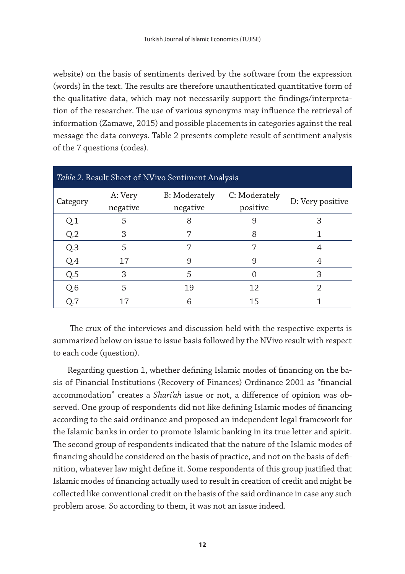website) on the basis of sentiments derived by the software from the expression (words) in the text. The results are therefore unauthenticated quantitative form of the qualitative data, which may not necessarily support the findings/interpretation of the researcher. The use of various synonyms may influence the retrieval of information (Zamawe, 2015) and possible placements in categories against the real message the data conveys. Table 2 presents complete result of sentiment analysis of the 7 questions (codes).

| Table 2. Result Sheet of NVivo Sentiment Analysis |                     |                                  |                           |                  |  |
|---------------------------------------------------|---------------------|----------------------------------|---------------------------|------------------|--|
| Category                                          | A: Very<br>negative | <b>B:</b> Moderately<br>negative | C: Moderately<br>positive | D: Very positive |  |
| Q <sub>1</sub>                                    | 5                   |                                  |                           | 3                |  |
| Q <sub>2</sub>                                    | З                   |                                  | 8                         |                  |  |
| Q <sub>3</sub>                                    | 5                   |                                  |                           |                  |  |
| Q.4                                               | 17                  | 9                                | 9                         |                  |  |
| Q.5                                               | З                   | 5                                |                           | 3                |  |
| Q.6                                               | 5                   | 19                               | 12                        |                  |  |
| Q.7                                               | 17                  | 6                                | 15                        |                  |  |

The crux of the interviews and discussion held with the respective experts is summarized below on issue to issue basis followed by the NVivo result with respect to each code (question).

Regarding question 1, whether defining Islamic modes of financing on the basis of Financial Institutions (Recovery of Finances) Ordinance 2001 as "financial accommodation" creates a *Shari'ah* issue or not, a difference of opinion was observed. One group of respondents did not like defining Islamic modes of financing according to the said ordinance and proposed an independent legal framework for the Islamic banks in order to promote Islamic banking in its true letter and spirit. The second group of respondents indicated that the nature of the Islamic modes of financing should be considered on the basis of practice, and not on the basis of definition, whatever law might define it. Some respondents of this group justified that Islamic modes of financing actually used to result in creation of credit and might be collected like conventional credit on the basis of the said ordinance in case any such problem arose. So according to them, it was not an issue indeed.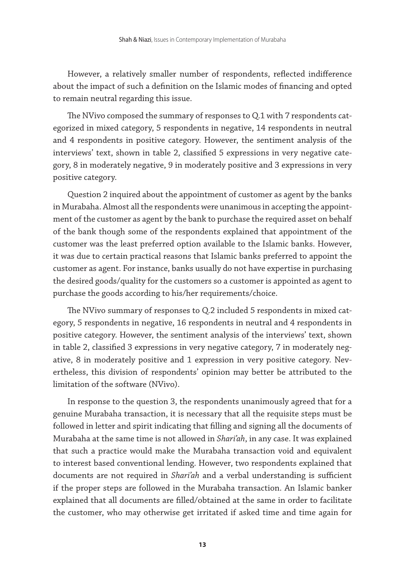However, a relatively smaller number of respondents, reflected indifference about the impact of such a definition on the Islamic modes of financing and opted to remain neutral regarding this issue.

The NVivo composed the summary of responses to Q.1 with 7 respondents categorized in mixed category, 5 respondents in negative, 14 respondents in neutral and 4 respondents in positive category. However, the sentiment analysis of the interviews' text, shown in table 2, classified 5 expressions in very negative category, 8 in moderately negative, 9 in moderately positive and 3 expressions in very positive category.

Question 2 inquired about the appointment of customer as agent by the banks in Murabaha. Almost all the respondents were unanimous in accepting the appointment of the customer as agent by the bank to purchase the required asset on behalf of the bank though some of the respondents explained that appointment of the customer was the least preferred option available to the Islamic banks. However, it was due to certain practical reasons that Islamic banks preferred to appoint the customer as agent. For instance, banks usually do not have expertise in purchasing the desired goods/quality for the customers so a customer is appointed as agent to purchase the goods according to his/her requirements/choice.

The NVivo summary of responses to Q.2 included 5 respondents in mixed category, 5 respondents in negative, 16 respondents in neutral and 4 respondents in positive category. However, the sentiment analysis of the interviews' text, shown in table 2, classified 3 expressions in very negative category, 7 in moderately negative, 8 in moderately positive and 1 expression in very positive category. Nevertheless, this division of respondents' opinion may better be attributed to the limitation of the software (NVivo).

In response to the question 3, the respondents unanimously agreed that for a genuine Murabaha transaction, it is necessary that all the requisite steps must be followed in letter and spirit indicating that filling and signing all the documents of Murabaha at the same time is not allowed in *Shari'ah*, in any case. It was explained that such a practice would make the Murabaha transaction void and equivalent to interest based conventional lending. However, two respondents explained that documents are not required in *Shari'ah* and a verbal understanding is sufficient if the proper steps are followed in the Murabaha transaction. An Islamic banker explained that all documents are filled/obtained at the same in order to facilitate the customer, who may otherwise get irritated if asked time and time again for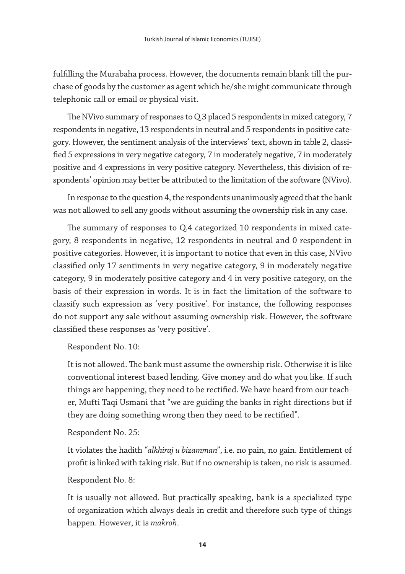fulfilling the Murabaha process. However, the documents remain blank till the purchase of goods by the customer as agent which he/she might communicate through telephonic call or email or physical visit.

The NVivo summary of responses to Q.3 placed 5 respondents in mixed category, 7 respondents in negative, 13 respondents in neutral and 5 respondents in positive category. However, the sentiment analysis of the interviews' text, shown in table 2, classified 5 expressions in very negative category, 7 in moderately negative, 7 in moderately positive and 4 expressions in very positive category. Nevertheless, this division of respondents' opinion may better be attributed to the limitation of the software (NVivo).

In response to the question 4, the respondents unanimously agreed that the bank was not allowed to sell any goods without assuming the ownership risk in any case.

The summary of responses to Q.4 categorized 10 respondents in mixed category, 8 respondents in negative, 12 respondents in neutral and 0 respondent in positive categories. However, it is important to notice that even in this case, NVivo classified only 17 sentiments in very negative category, 9 in moderately negative category, 9 in moderately positive category and 4 in very positive category, on the basis of their expression in words. It is in fact the limitation of the software to classify such expression as 'very positive'. For instance, the following responses do not support any sale without assuming ownership risk. However, the software classified these responses as 'very positive'.

Respondent No. 10:

It is not allowed. The bank must assume the ownership risk. Otherwise it is like conventional interest based lending. Give money and do what you like. If such things are happening, they need to be rectified. We have heard from our teacher, Mufti Taqi Usmani that "we are guiding the banks in right directions but if they are doing something wrong then they need to be rectified".

Respondent No. 25:

It violates the hadith "*alkhiraj u bizamman*", i.e. no pain, no gain. Entitlement of profit is linked with taking risk. But if no ownership is taken, no risk is assumed.

Respondent No. 8:

It is usually not allowed. But practically speaking, bank is a specialized type of organization which always deals in credit and therefore such type of things happen. However, it is *makroh*.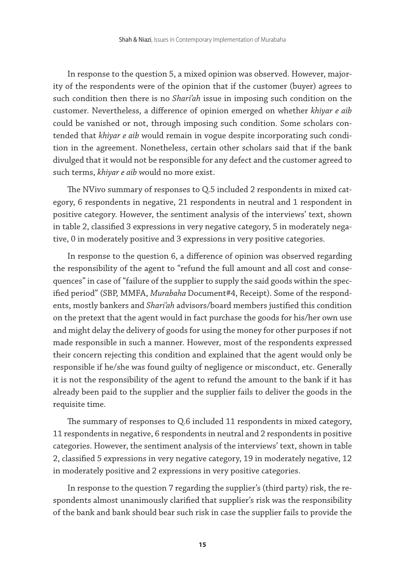In response to the question 5, a mixed opinion was observed. However, majority of the respondents were of the opinion that if the customer (buyer) agrees to such condition then there is no *Shari'ah* issue in imposing such condition on the customer. Nevertheless, a difference of opinion emerged on whether *khiyar e aib* could be vanished or not, through imposing such condition. Some scholars contended that *khiyar e aib* would remain in vogue despite incorporating such condition in the agreement. Nonetheless, certain other scholars said that if the bank divulged that it would not be responsible for any defect and the customer agreed to such terms, *khiyar e aib* would no more exist.

The NVivo summary of responses to Q.5 included 2 respondents in mixed category, 6 respondents in negative, 21 respondents in neutral and 1 respondent in positive category. However, the sentiment analysis of the interviews' text, shown in table 2, classified 3 expressions in very negative category, 5 in moderately negative, 0 in moderately positive and 3 expressions in very positive categories.

In response to the question 6, a difference of opinion was observed regarding the responsibility of the agent to "refund the full amount and all cost and consequences" in case of "failure of the supplier to supply the said goods within the specified period" (SBP, MMFA, *Murabaha* Document#4, Receipt). Some of the respondents, mostly bankers and *Shari'ah* advisors/board members justified this condition on the pretext that the agent would in fact purchase the goods for his/her own use and might delay the delivery of goods for using the money for other purposes if not made responsible in such a manner. However, most of the respondents expressed their concern rejecting this condition and explained that the agent would only be responsible if he/she was found guilty of negligence or misconduct, etc. Generally it is not the responsibility of the agent to refund the amount to the bank if it has already been paid to the supplier and the supplier fails to deliver the goods in the requisite time.

The summary of responses to Q.6 included 11 respondents in mixed category, 11 respondents in negative, 6 respondents in neutral and 2 respondents in positive categories. However, the sentiment analysis of the interviews' text, shown in table 2, classified 5 expressions in very negative category, 19 in moderately negative, 12 in moderately positive and 2 expressions in very positive categories.

In response to the question 7 regarding the supplier's (third party) risk, the respondents almost unanimously clarified that supplier's risk was the responsibility of the bank and bank should bear such risk in case the supplier fails to provide the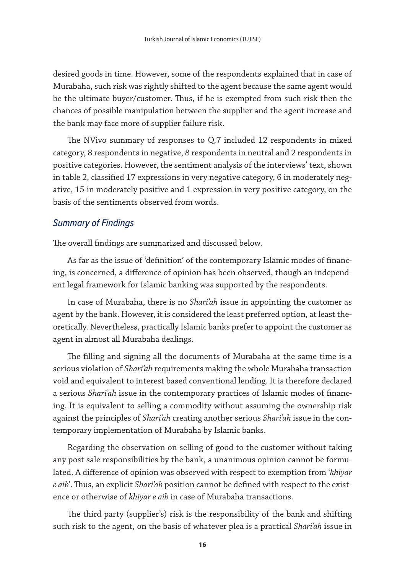desired goods in time. However, some of the respondents explained that in case of Murabaha, such risk was rightly shifted to the agent because the same agent would be the ultimate buyer/customer. Thus, if he is exempted from such risk then the chances of possible manipulation between the supplier and the agent increase and the bank may face more of supplier failure risk.

The NVivo summary of responses to Q.7 included 12 respondents in mixed category, 8 respondents in negative, 8 respondents in neutral and 2 respondents in positive categories. However, the sentiment analysis of the interviews' text, shown in table 2, classified 17 expressions in very negative category, 6 in moderately negative, 15 in moderately positive and 1 expression in very positive category, on the basis of the sentiments observed from words.

### *Summary of Findings*

The overall findings are summarized and discussed below.

As far as the issue of 'definition' of the contemporary Islamic modes of financing, is concerned, a difference of opinion has been observed, though an independent legal framework for Islamic banking was supported by the respondents.

In case of Murabaha, there is no *Shari'ah* issue in appointing the customer as agent by the bank. However, it is considered the least preferred option, at least theoretically. Nevertheless, practically Islamic banks prefer to appoint the customer as agent in almost all Murabaha dealings.

The filling and signing all the documents of Murabaha at the same time is a serious violation of *Shari'ah* requirements making the whole Murabaha transaction void and equivalent to interest based conventional lending. It is therefore declared a serious *Shari'ah* issue in the contemporary practices of Islamic modes of financing. It is equivalent to selling a commodity without assuming the ownership risk against the principles of *Shari'ah* creating another serious *Shari'ah* issue in the contemporary implementation of Murabaha by Islamic banks.

Regarding the observation on selling of good to the customer without taking any post sale responsibilities by the bank, a unanimous opinion cannot be formulated. A difference of opinion was observed with respect to exemption from '*khiyar e aib*'. Thus, an explicit *Shari'ah* position cannot be defined with respect to the existence or otherwise of *khiyar e aib* in case of Murabaha transactions.

The third party (supplier's) risk is the responsibility of the bank and shifting such risk to the agent, on the basis of whatever plea is a practical *Shari'ah* issue in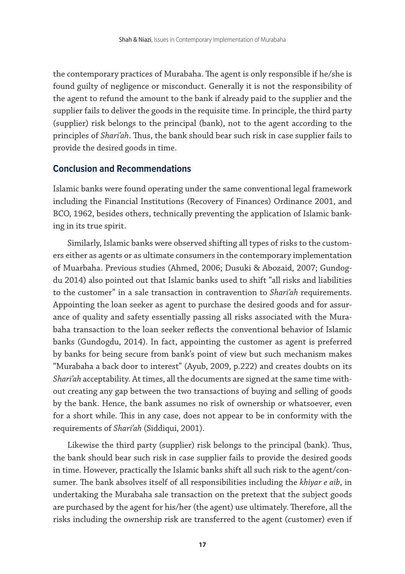the contemporary practices of Murabaha. The agent is only responsible if he/she is found guilty of negligence or misconduct. Generally it is not the responsibility of the agent to refund the amount to the bank if already paid to the supplier and the supplier fails to deliver the goods in the requisite time. In principle, the third party (supplier) risk belongs to the principal (bank), not to the agent according to the principles of *Shari'ah*. Thus, the bank should bear such risk in case supplier fails to provide the desired goods in time.

#### **Conclusion and Recommendations**

Islamic banks were found operating under the same conventional legal framework including the Financial Institutions (Recovery of Finances) Ordinance 2001, and BCO, 1962, besides others, technically preventing the application of Islamic banking in its true spirit.

Similarly, Islamic banks were observed shifting all types of risks to the customers either as agents or as ultimate consumers in the contemporary implementation of Muarbaha. Previous studies (Ahmed, 2006; Dusuki & Abozaid, 2007; Gundogdu 2014) also pointed out that Islamic banks used to shift "all risks and liabilities to the customer" in a sale transaction in contravention to *Shari'ah* requirements. Appointing the loan seeker as agent to purchase the desired goods and for assurance of quality and safety essentially passing all risks associated with the Murabaha transaction to the loan seeker reflects the conventional behavior of Islamic banks (Gundogdu, 2014). In fact, appointing the customer as agent is preferred by banks for being secure from bank's point of view but such mechanism makes "Murabaha a back door to interest" (Ayub, 2009, p.222) and creates doubts on its *Shari'ah* acceptability. At times, all the documents are signed at the same time without creating any gap between the two transactions of buying and selling of goods by the bank. Hence, the bank assumes no risk of ownership or whatsoever, even for a short while. This in any case, does not appear to be in conformity with the requirements of *Shari'ah* (Siddiqui, 2001).

Likewise the third party (supplier) risk belongs to the principal (bank). Thus, the bank should bear such risk in case supplier fails to provide the desired goods in time. However, practically the Islamic banks shift all such risk to the agent/consumer. The bank absolves itself of all responsibilities including the *khiyar e aib*, in undertaking the Murabaha sale transaction on the pretext that the subject goods are purchased by the agent for his/her (the agent) use ultimately. Therefore, all the risks including the ownership risk are transferred to the agent (customer) even if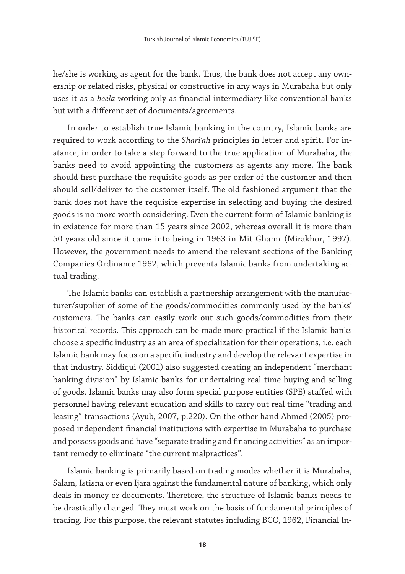he/she is working as agent for the bank. Thus, the bank does not accept any ownership or related risks, physical or constructive in any ways in Murabaha but only uses it as a *heela* working only as financial intermediary like conventional banks but with a different set of documents/agreements.

In order to establish true Islamic banking in the country, Islamic banks are required to work according to the *Shari'ah* principles in letter and spirit. For instance, in order to take a step forward to the true application of Murabaha, the banks need to avoid appointing the customers as agents any more. The bank should first purchase the requisite goods as per order of the customer and then should sell/deliver to the customer itself. The old fashioned argument that the bank does not have the requisite expertise in selecting and buying the desired goods is no more worth considering. Even the current form of Islamic banking is in existence for more than 15 years since 2002, whereas overall it is more than 50 years old since it came into being in 1963 in Mit Ghamr (Mirakhor, 1997). However, the government needs to amend the relevant sections of the Banking Companies Ordinance 1962, which prevents Islamic banks from undertaking actual trading.

The Islamic banks can establish a partnership arrangement with the manufacturer/supplier of some of the goods/commodities commonly used by the banks' customers. The banks can easily work out such goods/commodities from their historical records. This approach can be made more practical if the Islamic banks choose a specific industry as an area of specialization for their operations, i.e. each Islamic bank may focus on a specific industry and develop the relevant expertise in that industry. Siddiqui (2001) also suggested creating an independent "merchant banking division" by Islamic banks for undertaking real time buying and selling of goods. Islamic banks may also form special purpose entities (SPE) staffed with personnel having relevant education and skills to carry out real time "trading and leasing" transactions (Ayub, 2007, p.220). On the other hand Ahmed (2005) proposed independent financial institutions with expertise in Murabaha to purchase and possess goods and have "separate trading and financing activities" as an important remedy to eliminate "the current malpractices".

Islamic banking is primarily based on trading modes whether it is Murabaha, Salam, Istisna or even Ijara against the fundamental nature of banking, which only deals in money or documents. Therefore, the structure of Islamic banks needs to be drastically changed. They must work on the basis of fundamental principles of trading. For this purpose, the relevant statutes including BCO, 1962, Financial In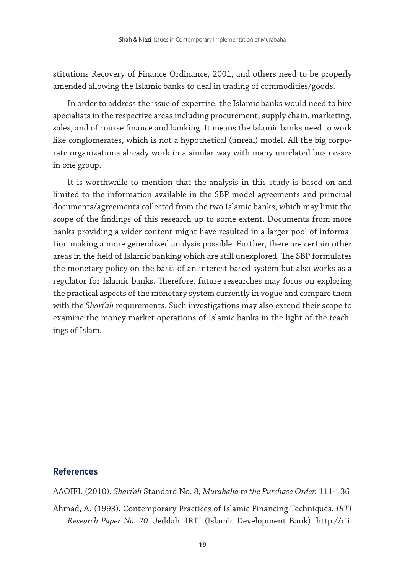stitutions Recovery of Finance Ordinance, 2001, and others need to be properly amended allowing the Islamic banks to deal in trading of commodities/goods.

In order to address the issue of expertise, the Islamic banks would need to hire specialists in the respective areas including procurement, supply chain, marketing, sales, and of course finance and banking. It means the Islamic banks need to work like conglomerates, which is not a hypothetical (unreal) model. All the big corporate organizations already work in a similar way with many unrelated businesses in one group.

It is worthwhile to mention that the analysis in this study is based on and limited to the information available in the SBP model agreements and principal documents/agreements collected from the two Islamic banks, which may limit the scope of the findings of this research up to some extent. Documents from more banks providing a wider content might have resulted in a larger pool of information making a more generalized analysis possible. Further, there are certain other areas in the field of Islamic banking which are still unexplored. The SBP formulates the monetary policy on the basis of an interest based system but also works as a regulator for Islamic banks. Therefore, future researches may focus on exploring the practical aspects of the monetary system currently in vogue and compare them with the *Shari'ah* requirements. Such investigations may also extend their scope to examine the money market operations of Islamic banks in the light of the teachings of Islam.

#### **References**

AAOIFI. (2010). *Shari'ah* Standard No. 8, *Murabaha to the Purchase Order.* 111-136

Ahmad, A. (1993). Contemporary Practices of Islamic Financing Techniques. *IRTI Research Paper No. 20*. Jeddah: IRTI (Islamic Development Bank). http://cii.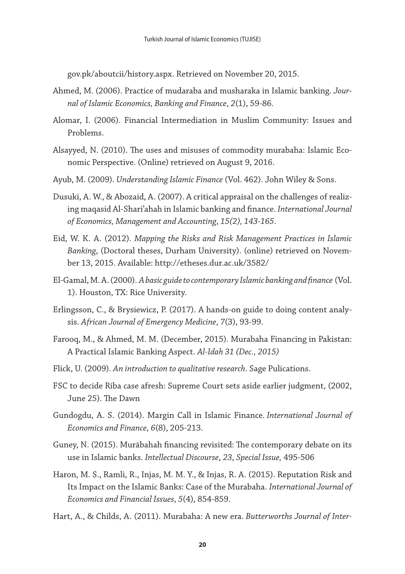gov.pk/aboutcii/history.aspx. Retrieved on November 20, 2015.

- Ahmed, M. (2006). Practice of mudaraba and musharaka in Islamic banking. *Journal of Islamic Economics, Banking and Finance*, *2*(1), 59-86.
- Alomar, I. (2006). Financial Intermediation in Muslim Community: Issues and Problems.
- Alsayyed, N. (2010). The uses and misuses of commodity murabaha: Islamic Economic Perspective. (Online) retrieved on August 9, 2016.
- Ayub, M. (2009). *Understanding Islamic Finance* (Vol. 462). John Wiley & Sons.
- Dusuki, A. W., & Abozaid, A. (2007). A critical appraisal on the challenges of realizing maqasid Al-Shari'ahah in Islamic banking and finance. *International Journal of Economics, Management and Accounting*, *15(2), 143-165*.
- Eid, W. K. A. (2012). *Mapping the Risks and Risk Management Practices in Islamic Banking*, (Doctoral theses, Durham University). (online) retrieved on November 13, 2015. Available: http://etheses.dur.ac.uk/3582/
- El-Gamal, M. A. (2000). *A basic guide to contemporary Islamic banking and finance* (Vol. 1). Houston, TX: Rice University.
- Erlingsson, C., & Brysiewicz, P. (2017). A hands-on guide to doing content analysis. *African Journal of Emergency Medicine*, *7*(3), 93-99.
- Farooq, M., & Ahmed, M. M. (December, 2015). Murabaha Financing in Pakistan: A Practical Islamic Banking Aspect. *Al-Idah 31 (Dec., 2015)*
- Flick, U. (2009). *An introduction to qualitative research*. Sage Pulications.
- FSC to decide Riba case afresh: Supreme Court sets aside earlier judgment, (2002, June 25). The Dawn
- Gundogdu, A. S. (2014). Margin Call in Islamic Finance. *International Journal of Economics and Finance*, *6*(8), 205-213.
- Guney, N. (2015). Murābahah financing revisited: The contemporary debate on its use in Islamic banks. *Intellectual Discourse*, *23*, *Special Issue,* 495-506
- Haron, M. S., Ramli, R., Injas, M. M. Y., & Injas, R. A. (2015). Reputation Risk and Its Impact on the Islamic Banks: Case of the Murabaha. *International Journal of Economics and Financial Issues*, *5*(4), 854-859.
- Hart, A., & Childs, A. (2011). Murabaha: A new era. *Butterworths Journal of Inter-*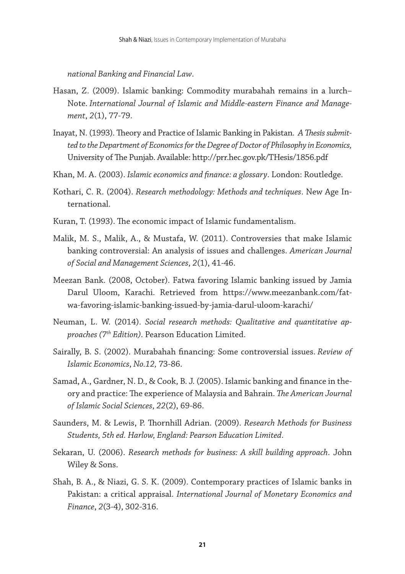*national Banking and Financial Law*.

- Hasan, Z. (2009). Islamic banking: Commodity murabahah remains in a lurch– Note. *International Journal of Islamic and Middle-eastern Finance and Management*, *2*(1), 77-79.
- Inayat, N. (1993). Theory and Practice of Islamic Banking in Pakistan. *A Thesis submitted to the Department of Economics for the Degree of Doctor of Philosophy in Economics,* University of The Punjab. Available: http://prr.hec.gov.pk/THesis/1856.pdf
- Khan, M. A. (2003). *Islamic economics and finance: a glossary*. London: Routledge.
- Kothari, C. R. (2004). *Research methodology: Methods and techniques*. New Age International.
- Kuran, T. (1993). The economic impact of Islamic fundamentalism.
- Malik, M. S., Malik, A., & Mustafa, W. (2011). Controversies that make Islamic banking controversial: An analysis of issues and challenges. *American Journal of Social and Management Sciences*, *2*(1), 41-46.
- Meezan Bank. (2008, October). Fatwa favoring Islamic banking issued by Jamia Darul Uloom, Karachi. Retrieved from https://www.meezanbank.com/fatwa-favoring-islamic-banking-issued-by-jamia-darul-uloom-karachi/
- Neuman, L. W. (2014). *Social research methods: Qualitative and quantitative approaches (7th Edition)*. Pearson Education Limited.
- Sairally, B. S. (2002). Murabahah financing: Some controversial issues. *Review of Islamic Economics*, *No.12,* 73-86.
- Samad, A., Gardner, N. D., & Cook, B. J. (2005). Islamic banking and finance in theory and practice: The experience of Malaysia and Bahrain. *The American Journal of Islamic Social Sciences*, *22*(2), 69-86.
- Saunders, M. & Lewis, P. Thornhill Adrian. (2009). *Research Methods for Business Students, 5th ed. Harlow, England: Pearson Education Limited*.
- Sekaran, U. (2006). *Research methods for business: A skill building approach*. John Wiley & Sons.
- Shah, B. A., & Niazi, G. S. K. (2009). Contemporary practices of Islamic banks in Pakistan: a critical appraisal. *International Journal of Monetary Economics and Finance*, *2*(3-4), 302-316.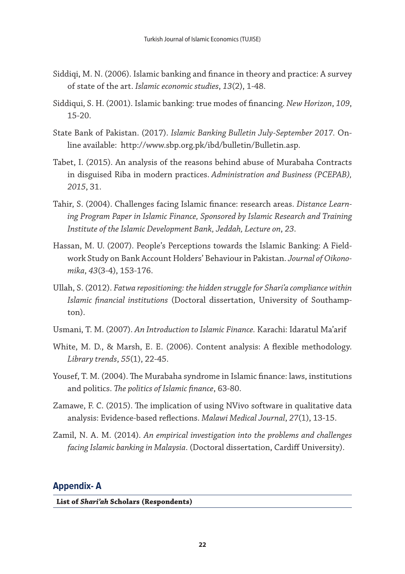- Siddiqi, M. N. (2006). Islamic banking and finance in theory and practice: A survey of state of the art. *Islamic economic studies*, *13*(2), 1-48.
- Siddiqui, S. H. (2001). Islamic banking: true modes of financing. *New Horizon*, *109*, 15-20.
- State Bank of Pakistan. (2017). *Islamic Banking Bulletin July-September 2017.* Online available: http://www.sbp.org.pk/ibd/bulletin/Bulletin.asp.
- Tabet, I. (2015). An analysis of the reasons behind abuse of Murabaha Contracts in disguised Riba in modern practices. *Administration and Business (PCEPAB), 2015*, 31.
- Tahir, S. (2004). Challenges facing Islamic finance: research areas. *Distance Learning Program Paper in Islamic Finance, Sponsored by Islamic Research and Training Institute of the Islamic Development Bank, Jeddah, Lecture on*, *23*.
- Hassan, M. U. (2007). People's Perceptions towards the Islamic Banking: A Fieldwork Study on Bank Account Holders' Behaviour in Pakistan. *Journal of Oikonomika*, *43*(3-4), 153-176.
- Ullah, S. (2012). *Fatwa repositioning: the hidden struggle for Shari'a compliance within Islamic financial institutions* (Doctoral dissertation, University of Southampton).
- Usmani, T. M. (2007). *An Introduction to Islamic Finance.* Karachi: Idaratul Ma'arif
- White, M. D., & Marsh, E. E. (2006). Content analysis: A flexible methodology. *Library trends*, *55*(1), 22-45.
- Yousef, T. M. (2004). The Murabaha syndrome in Islamic finance: laws, institutions and politics. *The politics of Islamic finance*, 63-80.
- Zamawe, F. C. (2015). The implication of using NVivo software in qualitative data analysis: Evidence-based reflections. *Malawi Medical Journal*, *27*(1), 13-15.
- Zamil, N. A. M. (2014). *An empirical investigation into the problems and challenges facing Islamic banking in Malaysia*. (Doctoral dissertation, Cardiff University).

#### **Appendix- A**

**List of** *Shari'ah* **Scholars (Respondents)**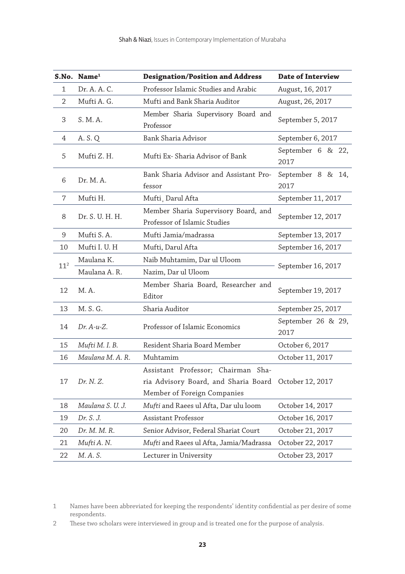|                 | S.No. Name <sup>1</sup> | <b>Designation/Position and Address</b>                                                                   | <b>Date of Interview</b>   |  |
|-----------------|-------------------------|-----------------------------------------------------------------------------------------------------------|----------------------------|--|
| $\mathbf{1}$    | Dr. A. A. C.            | Professor Islamic Studies and Arabic                                                                      | August, 16, 2017           |  |
| 2               | Mufti A. G.             | Mufti and Bank Sharia Auditor                                                                             | August, 26, 2017           |  |
| 3               | S. M. A.                | Member Sharia Supervisory Board and<br>Professor                                                          | September 5, 2017          |  |
| 4               | A. S. Q                 | Bank Sharia Advisor                                                                                       | September 6, 2017          |  |
| 5               | Mufti Z. H.             | Mufti Ex- Sharia Advisor of Bank                                                                          | September 6 & 22,<br>2017  |  |
| 6               | Dr. M. A.               | Bank Sharia Advisor and Assistant Pro-<br>fessor                                                          | September 8 & 14,<br>2017  |  |
| 7               | Mufti H.                | Mufti, Darul Afta                                                                                         | September 11, 2017         |  |
| 8               | Dr. S. U. H. H.         | Member Sharia Supervisory Board, and<br>Professor of Islamic Studies                                      | September 12, 2017         |  |
| 9               | Mufti S.A.              | Mufti Jamia/madrassa                                                                                      | September 13, 2017         |  |
| 10              | Mufti I. U. H           | Mufti, Darul Afta                                                                                         | September 16, 2017         |  |
|                 | Maulana K.              | Naib Muhtamim, Dar ul Uloom                                                                               | September 16, 2017         |  |
| 11 <sup>2</sup> | Maulana A. R.           | Nazim, Dar ul Uloom                                                                                       |                            |  |
| 12              | M.A.                    | Member Sharia Board, Researcher and<br>Editor                                                             | September 19, 2017         |  |
| 13              | M. S. G.                | Sharia Auditor                                                                                            | September 25, 2017         |  |
| 14              | $Dr. A-u-Z.$            | Professor of Islamic Economics                                                                            | September 26 & 29,<br>2017 |  |
| 15              | Mufti M. I. B.          | Resident Sharia Board Member                                                                              | October 6, 2017            |  |
| 16              | Maulana M. A. R.        | Muhtamim                                                                                                  | October 11, 2017           |  |
| 17              | Dr. N. Z.               | Assistant Professor; Chairman Sha-<br>ria Advisory Board, and Sharia Board<br>Member of Foreign Companies | October 12, 2017           |  |
| 18              | Maulana S. U. J.        | Mufti and Raees ul Afta, Dar ulu loom                                                                     | October 14, 2017           |  |
| 19              | Dr. S. J.               | Assistant Professor                                                                                       | October 16, 2017           |  |
| 20              | Dr. M. M. R.            | Senior Advisor, Federal Shariat Court                                                                     | October 21, 2017           |  |
| 21              | Mufti A. N.             | Mufti and Raees ul Afta, Jamia/Madrassa                                                                   | October 22, 2017           |  |
| 22              | M.A.S.                  | Lecturer in University                                                                                    | October 23, 2017           |  |

 Names have been abbreviated for keeping the respondents' identity confidential as per desire of some respondents.

These two scholars were interviewed in group and is treated one for the purpose of analysis.